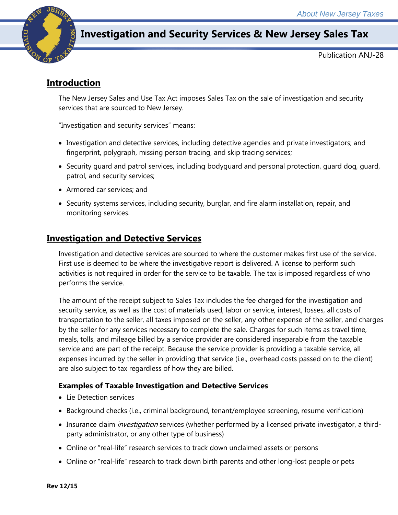

# **Investigation and Security Services & New Jersey Sales Tax**

Publication ANJ-28

# **Introduction**

The New Jersey Sales and Use Tax Act imposes Sales Tax on the sale of investigation and security services that are sourced to New Jersey.

"Investigation and security services" means:

- Investigation and detective services, including detective agencies and private investigators; and fingerprint, polygraph, missing person tracing, and skip tracing services;
- Security guard and patrol services, including bodyguard and personal protection, guard dog, guard, patrol, and security services;
- Armored car services; and
- Security systems services, including security, burglar, and fire alarm installation, repair, and monitoring services.

# **Investigation and Detective Services**

Investigation and detective services are sourced to where the customer makes first use of the service. First use is deemed to be where the investigative report is delivered. A license to perform such activities is not required in order for the service to be taxable. The tax is imposed regardless of who performs the service.

The amount of the receipt subject to Sales Tax includes the fee charged for the investigation and security service, as well as the cost of materials used, labor or service, interest, losses, all costs of transportation to the seller, all taxes imposed on the seller, any other expense of the seller, and charges by the seller for any services necessary to complete the sale. Charges for such items as travel time, meals, tolls, and mileage billed by a service provider are considered inseparable from the taxable service and are part of the receipt. Because the service provider is providing a taxable service, all expenses incurred by the seller in providing that service (i.e., overhead costs passed on to the client) are also subject to tax regardless of how they are billed.

### **Examples of Taxable Investigation and Detective Services**

- Lie Detection services
- Background checks (i.e., criminal background, tenant/employee screening, resume verification)
- Insurance claim *investigation* services (whether performed by a licensed private investigator, a thirdparty administrator, or any other type of business)
- Online or "real-life" research services to track down unclaimed assets or persons
- Online or "real-life" research to track down birth parents and other long-lost people or pets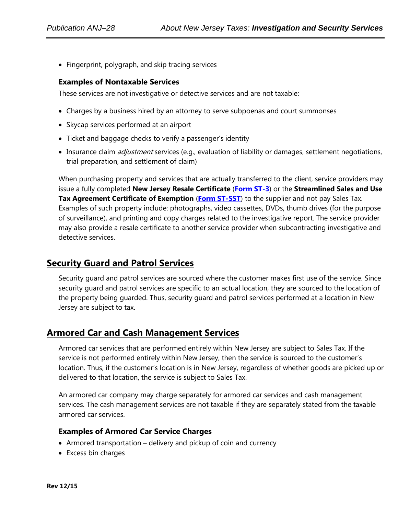• Fingerprint, polygraph, and skip tracing services

#### **Examples of Nontaxable Services**

These services are not investigative or detective services and are not taxable:

- Charges by a business hired by an attorney to serve subpoenas and court summonses
- Skycap services performed at an airport
- Ticket and baggage checks to verify a passenger's identity
- Insurance claim *adjustment* services (e.g., evaluation of liability or damages, settlement negotiations, trial preparation, and settlement of claim)

When purchasing property and services that are actually transferred to the client, service providers may issue a fully completed **New Jersey Resale Certificate** (**[Form ST-3](http://www.state.nj.us/treasury/taxation/pdf/other_forms/sales/st3.pdf)**) or the **Streamlined Sales and Use Tax Agreement Certificate of Exemption** (**[Form ST-SST](http://www.state.nj.us/treasury/taxation/pdf/other_forms/sales/st_sst.pdf)**) to the supplier and not pay Sales Tax. Examples of such property include: photographs, video cassettes, DVDs, thumb drives (for the purpose of surveillance), and printing and copy charges related to the investigative report. The service provider may also provide a resale certificate to another service provider when subcontracting investigative and detective services.

### **Security Guard and Patrol Services**

Security guard and patrol services are sourced where the customer makes first use of the service. Since security guard and patrol services are specific to an actual location, they are sourced to the location of the property being guarded. Thus, security guard and patrol services performed at a location in New Jersey are subject to tax.

### **Armored Car and Cash Management Services**

Armored car services that are performed entirely within New Jersey are subject to Sales Tax. If the service is not performed entirely within New Jersey, then the service is sourced to the customer's location. Thus, if the customer's location is in New Jersey, regardless of whether goods are picked up or delivered to that location, the service is subject to Sales Tax.

An armored car company may charge separately for armored car services and cash management services. The cash management services are not taxable if they are separately stated from the taxable armored car services.

#### **Examples of Armored Car Service Charges**

- Armored transportation delivery and pickup of coin and currency
- Excess bin charges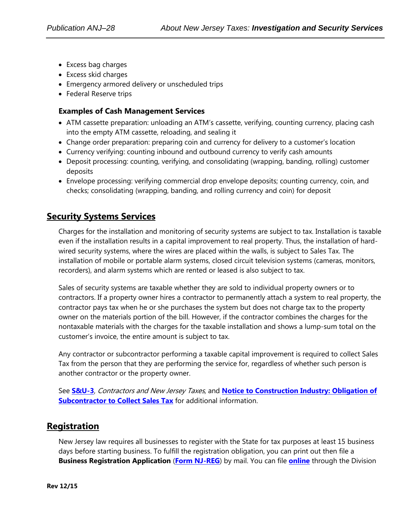- Excess bag charges
- Excess skid charges
- Emergency armored delivery or unscheduled trips
- Federal Reserve trips

#### **Examples of Cash Management Services**

- ATM cassette preparation: unloading an ATM's cassette, verifying, counting currency, placing cash into the empty ATM cassette, reloading, and sealing it
- Change order preparation: preparing coin and currency for delivery to a customer's location
- Currency verifying: counting inbound and outbound currency to verify cash amounts
- Deposit processing: counting, verifying, and consolidating (wrapping, banding, rolling) customer deposits
- Envelope processing: verifying commercial drop envelope deposits; counting currency, coin, and checks; consolidating (wrapping, banding, and rolling currency and coin) for deposit

### **Security Systems Services**

Charges for the installation and monitoring of security systems are subject to tax. Installation is taxable even if the installation results in a capital improvement to real property. Thus, the installation of hardwired security systems, where the wires are placed within the walls, is subject to Sales Tax. The installation of mobile or portable alarm systems, closed circuit television systems (cameras, monitors, recorders), and alarm systems which are rented or leased is also subject to tax.

Sales of security systems are taxable whether they are sold to individual property owners or to contractors. If a property owner hires a contractor to permanently attach a system to real property, the contractor pays tax when he or she purchases the system but does not charge tax to the property owner on the materials portion of the bill. However, if the contractor combines the charges for the nontaxable materials with the charges for the taxable installation and shows a lump-sum total on the customer's invoice, the entire amount is subject to tax.

Any contractor or subcontractor performing a taxable capital improvement is required to collect Sales Tax from the person that they are performing the service for, regardless of whether such person is another contractor or the property owner.

See **[S&U-3](http://www.state.nj.us/treasury/taxation/pdf/pubs/sales/su3.pdf)**, Contractors and New Jersey Taxes, and **[Notice to Construction Industry: Obligation of](http://www.state.nj.us/treasury/taxation/pdf/constructionnotice.pdf)  [Subcontractor to Collect Sales Tax](http://www.state.nj.us/treasury/taxation/pdf/constructionnotice.pdf)** for additional information.

### **Registration**

New Jersey law requires all businesses to register with the State for tax purposes at least 15 business days before starting business. To fulfill the registration obligation, you can print out then file a **Business Registration Application** (**[Form NJ-REG](http://www.state.nj.us/treasury/revenue/revprnt.shtml)**) by mail. You can file **[online](http://www.state.nj.us/treasury/revenue/revprnt.shtml)** through the Division